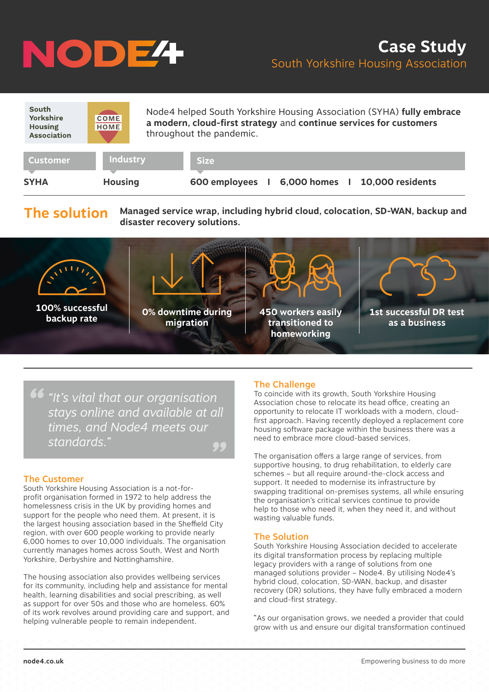# NODE<sup>4</sup>

| South<br>Yorkshire<br><b>Housing</b><br><b>Association</b> | <b>COME</b><br><b>HOME</b>        | Node4 helped South Yorkshire Housing Association (SYHA) fully embrace<br>a modern, cloud-first strategy and continue services for customers<br>throughout the pandemic. |
|------------------------------------------------------------|-----------------------------------|-------------------------------------------------------------------------------------------------------------------------------------------------------------------------|
| <b>Customer</b><br><b>SYHA</b>                             | <b>Industry</b><br><b>Housing</b> | <b>Size</b><br>6,000 homes 1 10,000 residents<br>600 employees                                                                                                          |

**The solution Managed service wrap, including hybrid cloud, colocation, SD-WAN, backup and disaster recovery solutions.** 



*" "It's vital that our organisation " stays online and available at all times, and Node4 meets our standards."*

#### The Customer

South Yorkshire Housing Association is a not-forprofit organisation formed in 1972 to help address the homelessness crisis in the UK by providing homes and support for the people who need them. At present, it is the largest housing association based in the Sheffield City region, with over 600 people working to provide nearly 6,000 homes to over 10,000 individuals. The organisation currently manages homes across South, West and North Yorkshire, Derbyshire and Nottinghamshire.

The housing association also provides wellbeing services for its community, including help and assistance for mental health, learning disabilities and social prescribing, as well as support for over 50s and those who are homeless. 60% of its work revolves around providing care and support, and helping vulnerable people to remain independent.

### The Challenge

To coincide with its growth, South Yorkshire Housing Association chose to relocate its head office, creating an opportunity to relocate IT workloads with a modern, cloudfirst approach. Having recently deployed a replacement core housing software package within the business there was a need to embrace more cloud-based services.

The organisation offers a large range of services, from supportive housing, to drug rehabilitation, to elderly care schemes – but all require around-the-clock access and support. It needed to modernise its infrastructure by swapping traditional on-premises systems, all while ensuring the organisation's critical services continue to provide help to those who need it, when they need it, and without wasting valuable funds.

### The Solution

South Yorkshire Housing Association decided to accelerate its digital transformation process by replacing multiple legacy providers with a range of solutions from one managed solutions provider – Node4. By utilising Node4's hybrid cloud, colocation, SD-WAN, backup, and disaster recovery (DR) solutions, they have fully embraced a modern and cloud-first strategy.

"As our organisation grows, we needed a provider that could grow with us and ensure our digital transformation continued